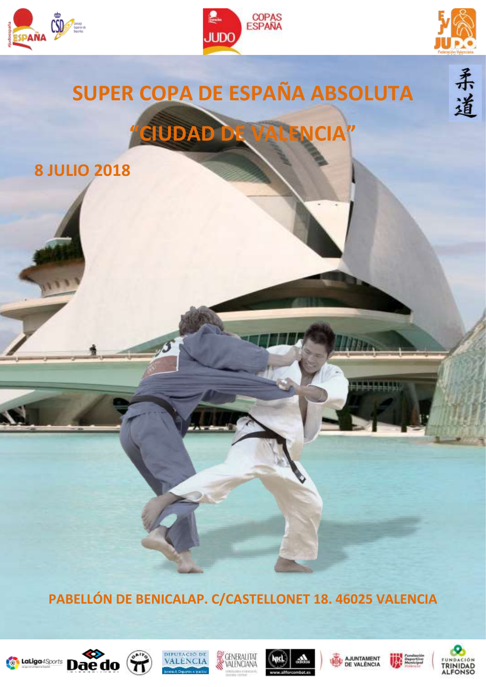





柔道

# **SUPER COPA DE ESPAÑA ABSOLUTA "CIUDAD DE VALENCIA"**

**8 JULIO 2018**

**PABELLÓN DE BENICALAP. C/CASTELLONET 18. 46025 VALENCIA**















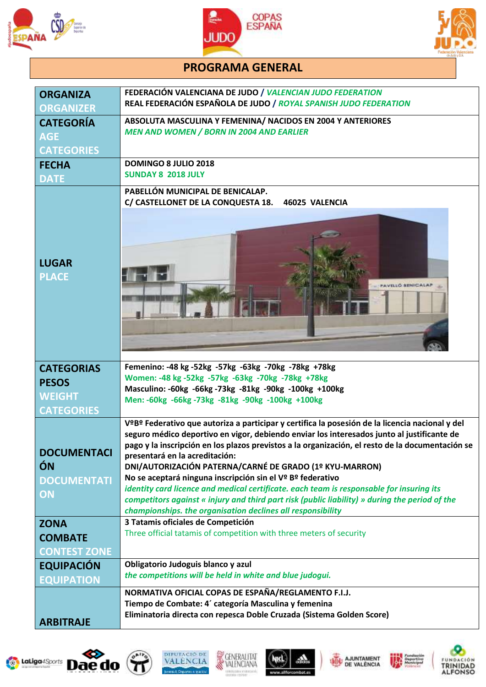





## **PROGRAMA GENERAL**

| <b>ORGANIZA</b><br><b>ORGANIZER</b>                  | FEDERACIÓN VALENCIANA DE JUDO / VALENCIAN JUDO FEDERATION<br>REAL FEDERACIÓN ESPAÑOLA DE JUDO / ROYAL SPANISH JUDO FEDERATION                                                                                                                                                                                                                                                                                                                                                                                                                                                                                                                                                                                             |  |
|------------------------------------------------------|---------------------------------------------------------------------------------------------------------------------------------------------------------------------------------------------------------------------------------------------------------------------------------------------------------------------------------------------------------------------------------------------------------------------------------------------------------------------------------------------------------------------------------------------------------------------------------------------------------------------------------------------------------------------------------------------------------------------------|--|
| <b>CATEGORÍA</b><br><b>AGE</b><br><b>CATEGORIES</b>  | ABSOLUTA MASCULINA Y FEMENINA/ NACIDOS EN 2004 Y ANTERIORES<br><b>MEN AND WOMEN / BORN IN 2004 AND EARLIER</b>                                                                                                                                                                                                                                                                                                                                                                                                                                                                                                                                                                                                            |  |
| <b>FECHA</b><br><b>DATE</b>                          | <b>DOMINGO 8 JULIO 2018</b><br><b>SUNDAY 8 2018 JULY</b>                                                                                                                                                                                                                                                                                                                                                                                                                                                                                                                                                                                                                                                                  |  |
| <b>LUGAR</b><br><b>PLACE</b>                         | PABELLÓN MUNICIPAL DE BENICALAP.<br>C/ CASTELLONET DE LA CONQUESTA 18.<br>46025 VALENCIA<br>AVELLÓ BENICA                                                                                                                                                                                                                                                                                                                                                                                                                                                                                                                                                                                                                 |  |
| <b>CATEGORIAS</b><br><b>PESOS</b><br><b>WEIGHT</b>   | Femenino: -48 kg -52kg -57kg -63kg -70kg -78kg +78kg<br>Women: -48 kg -52kg -57kg -63kg -70kg -78kg +78kg<br>Masculino: -60kg -66kg -73kg -81kg -90kg -100kg +100kg                                                                                                                                                                                                                                                                                                                                                                                                                                                                                                                                                       |  |
| <b>CATEGORIES</b>                                    | Men: -60kg -66kg -73kg -81kg -90kg -100kg +100kg                                                                                                                                                                                                                                                                                                                                                                                                                                                                                                                                                                                                                                                                          |  |
| <b>DOCUMENTACI</b><br>ÓN<br><b>DOCUMENTATI</b><br>ON | VºBº Federativo que autoriza a participar y certifica la posesión de la licencia nacional y del<br>seguro médico deportivo en vigor, debiendo enviar los interesados junto al justificante de<br>pago y la inscripción en los plazos previstos a la organización, el resto de la documentación se<br>presentará en la acreditación:<br>DNI/AUTORIZACIÓN PATERNA/CARNÉ DE GRADO (1º KYU-MARRON)<br>No se aceptará ninguna inscripción sin el Vº Bº federativo<br>identity card licence and medical certificate. each team is responsable for insuring its<br>competitors against « injury and third part risk (public liability) » during the period of the<br>championships. the organisation declines all responsibility |  |
| <b>ZONA</b><br><b>COMBATE</b><br><b>CONTEST ZONE</b> | 3 Tatamis oficiales de Competición<br>Three official tatamis of competition with three meters of security                                                                                                                                                                                                                                                                                                                                                                                                                                                                                                                                                                                                                 |  |
| <b>EQUIPACIÓN</b><br><b>EQUIPATION</b>               | Obligatorio Judoguis blanco y azul<br>the competitions will be held in white and blue judogui.                                                                                                                                                                                                                                                                                                                                                                                                                                                                                                                                                                                                                            |  |
| <b>ARBITRAJE</b>                                     | NORMATIVA OFICIAL COPAS DE ESPAÑA/REGLAMENTO F.I.J.<br>Tiempo de Combate: 4' categoría Masculina y femenina<br>Eliminatoria directa con repesca Doble Cruzada (Sistema Golden Score)                                                                                                                                                                                                                                                                                                                                                                                                                                                                                                                                      |  |















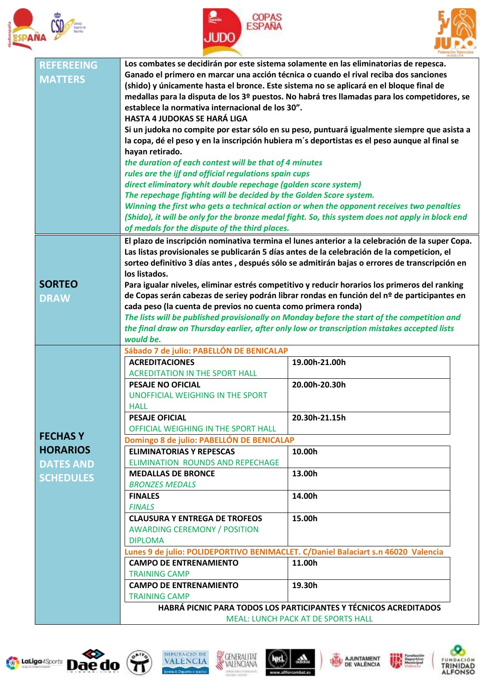





| <b>REFEREEING</b> | Los combates se decidirán por este sistema solamente en las eliminatorias de repesca.                                                                                                          |                                                                                               |  |  |
|-------------------|------------------------------------------------------------------------------------------------------------------------------------------------------------------------------------------------|-----------------------------------------------------------------------------------------------|--|--|
| <b>MATTERS</b>    | Ganado el primero en marcar una acción técnica o cuando el rival reciba dos sanciones                                                                                                          |                                                                                               |  |  |
|                   | (shido) y únicamente hasta el bronce. Este sistema no se aplicará en el bloque final de                                                                                                        |                                                                                               |  |  |
|                   | medallas para la disputa de los 3º puestos. No habrá tres llamadas para los competidores, se                                                                                                   |                                                                                               |  |  |
|                   | establece la normativa internacional de los 30".                                                                                                                                               |                                                                                               |  |  |
|                   | <b>HASTA 4 JUDOKAS SE HARÁ LIGA</b>                                                                                                                                                            |                                                                                               |  |  |
|                   |                                                                                                                                                                                                | Si un judoka no compite por estar sólo en su peso, puntuará igualmente siempre que asista a   |  |  |
|                   | la copa, dé el peso y en la inscripción hubiera m's deportistas es el peso aunque al final se                                                                                                  |                                                                                               |  |  |
|                   | hayan retirado.                                                                                                                                                                                |                                                                                               |  |  |
|                   | the duration of each contest will be that of 4 minutes                                                                                                                                         |                                                                                               |  |  |
|                   | rules are the ijf and official regulations spain cups                                                                                                                                          |                                                                                               |  |  |
|                   | direct eliminatory whit double repechage (golden score system)                                                                                                                                 |                                                                                               |  |  |
|                   | The repechage fighting will be decided by the Golden Score system.                                                                                                                             |                                                                                               |  |  |
|                   | Winning the first who gets a technical action or when the opponent receives two penalties                                                                                                      |                                                                                               |  |  |
|                   | (Shido), it will be only for the bronze medal fight. So, this system does not apply in block end                                                                                               |                                                                                               |  |  |
|                   | of medals for the dispute of the third places.                                                                                                                                                 |                                                                                               |  |  |
|                   | El plazo de inscripción nominativa termina el lunes anterior a la celebración de la super Copa.<br>Las listas provisionales se publicarán 5 días antes de la celebración de la competicion, el |                                                                                               |  |  |
|                   |                                                                                                                                                                                                | sorteo definitivo 3 días antes, después sólo se admitirán bajas o errores de transcripción en |  |  |
|                   | los listados.                                                                                                                                                                                  |                                                                                               |  |  |
| <b>SORTEO</b>     |                                                                                                                                                                                                | Para igualar niveles, eliminar estrés competitivo y reducir horarios los primeros del ranking |  |  |
|                   |                                                                                                                                                                                                | de Copas serán cabezas de seriey podrán librar rondas en función del nº de participantes en   |  |  |
| <b>DRAW</b>       | cada peso (la cuenta de previos no cuenta como primera ronda)                                                                                                                                  |                                                                                               |  |  |
|                   |                                                                                                                                                                                                | The lists will be published provisionally on Monday before the start of the competition and   |  |  |
|                   |                                                                                                                                                                                                | the final draw on Thursday earlier, after only low or transcription mistakes accepted lists   |  |  |
|                   | would be.                                                                                                                                                                                      |                                                                                               |  |  |
|                   | Sábado 7 de julio: PABELLÓN DE BENICALAP                                                                                                                                                       |                                                                                               |  |  |
|                   | <b>ACREDITACIONES</b>                                                                                                                                                                          | 19.00h-21.00h                                                                                 |  |  |
|                   | <b>ACREDITATION IN THE SPORT HALL</b>                                                                                                                                                          |                                                                                               |  |  |
|                   | <b>PESAJE NO OFICIAL</b>                                                                                                                                                                       | 20.00h-20.30h                                                                                 |  |  |
|                   | UNOFFICIAL WEIGHING IN THE SPORT                                                                                                                                                               |                                                                                               |  |  |
|                   | <b>HALL</b>                                                                                                                                                                                    |                                                                                               |  |  |
|                   | <b>PESAJE OFICIAL</b>                                                                                                                                                                          | 20.30h-21.15h                                                                                 |  |  |
|                   | OFFICIAL WEIGHING IN THE SPORT HALL                                                                                                                                                            |                                                                                               |  |  |
| <b>FECHAS Y</b>   | Domingo 8 de julio: PABELLÓN DE BENICALAP                                                                                                                                                      |                                                                                               |  |  |
| <b>HORARIOS</b>   | <b>ELIMINATORIAS Y REPESCAS</b>                                                                                                                                                                | 10.00h                                                                                        |  |  |
| <b>DATES AND</b>  | ELIMINATION ROUNDS AND REPECHAGE                                                                                                                                                               |                                                                                               |  |  |
| <b>SCHEDULES</b>  | <b>MEDALLAS DE BRONCE</b>                                                                                                                                                                      | 13.00h                                                                                        |  |  |
|                   | <b>BRONZES MEDALS</b>                                                                                                                                                                          |                                                                                               |  |  |
|                   | <b>FINALES</b>                                                                                                                                                                                 | 14.00h                                                                                        |  |  |
|                   | <b>FINALS</b>                                                                                                                                                                                  |                                                                                               |  |  |
|                   | <b>CLAUSURA Y ENTREGA DE TROFEOS</b>                                                                                                                                                           | 15.00h                                                                                        |  |  |
|                   | <b>AWARDING CEREMONY / POSITION</b>                                                                                                                                                            |                                                                                               |  |  |
|                   | <b>DIPLOMA</b>                                                                                                                                                                                 |                                                                                               |  |  |
|                   | Lunes 9 de julio: POLIDEPORTIVO BENIMACLET. C/Daniel Balaciart s.n 46020 Valencia                                                                                                              |                                                                                               |  |  |
|                   | <b>CAMPO DE ENTRENAMIENTO</b>                                                                                                                                                                  | 11.00h                                                                                        |  |  |
|                   | <b>TRAINING CAMP</b>                                                                                                                                                                           |                                                                                               |  |  |
|                   | <b>CAMPO DE ENTRENAMIENTO</b>                                                                                                                                                                  | 19.30h                                                                                        |  |  |
|                   | <b>TRAINING CAMP</b>                                                                                                                                                                           |                                                                                               |  |  |
|                   | HABRÁ PICNIC PARA TODOS LOS PARTICIPANTES Y TÉCNICOS ACREDITADOS                                                                                                                               |                                                                                               |  |  |
|                   | <b>MEAL: LUNCH PACK AT DE SPORTS HALL</b>                                                                                                                                                      |                                                                                               |  |  |















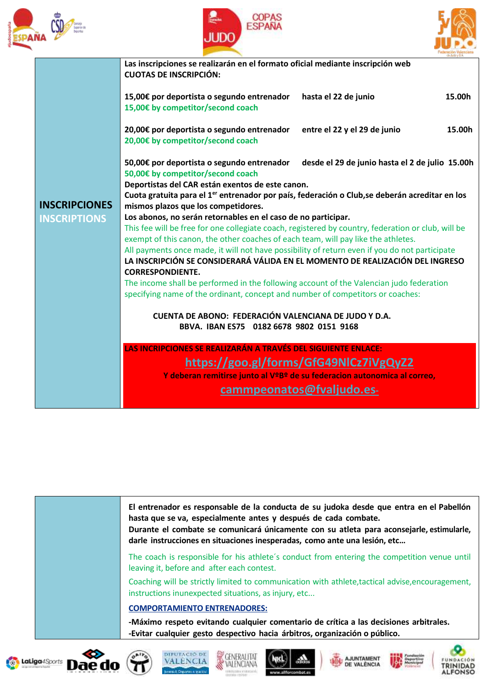





|                      | Las inscripciones se realizarán en el formato oficial mediante inscripción web<br><b>CUOTAS DE INSCRIPCIÓN:</b>                                                                                                                                          |                                                 |        |  |
|----------------------|----------------------------------------------------------------------------------------------------------------------------------------------------------------------------------------------------------------------------------------------------------|-------------------------------------------------|--------|--|
|                      | 15,00€ por deportista o segundo entrenador<br>15,00€ by competitor/second coach                                                                                                                                                                          | hasta el 22 de junio                            | 15.00h |  |
|                      | 20,00€ por deportista o segundo entrenador<br>20,00€ by competitor/second coach                                                                                                                                                                          | entre el 22 y el 29 de junio                    | 15.00h |  |
|                      | 50,00€ por deportista o segundo entrenador<br>50,00€ by competitor/second coach                                                                                                                                                                          | desde el 29 de junio hasta el 2 de julio 15.00h |        |  |
|                      | Deportistas del CAR están exentos de este canon.<br>Cuota gratuita para el 1 <sup>er</sup> entrenador por país, federación o Club, se deberán acreditar en los                                                                                           |                                                 |        |  |
| <b>INSCRIPCIONES</b> | mismos plazos que los competidores.                                                                                                                                                                                                                      |                                                 |        |  |
| <b>INSCRIPTIONS</b>  | Los abonos, no serán retornables en el caso de no participar.<br>This fee will be free for one collegiate coach, registered by country, federation or club, will be<br>exempt of this canon, the other coaches of each team, will pay like the athletes. |                                                 |        |  |
|                      |                                                                                                                                                                                                                                                          |                                                 |        |  |
|                      |                                                                                                                                                                                                                                                          |                                                 |        |  |
|                      | All payments once made, it will not have possibility of return even if you do not participate                                                                                                                                                            |                                                 |        |  |
|                      | LA INSCRIPCIÓN SE CONSIDERARÁ VÁLIDA EN EL MOMENTO DE REALIZACIÓN DEL INGRESO<br><b>CORRESPONDIENTE.</b><br>The income shall be performed in the following account of the Valencian judo federation                                                      |                                                 |        |  |
|                      |                                                                                                                                                                                                                                                          |                                                 |        |  |
|                      | specifying name of the ordinant, concept and number of competitors or coaches:                                                                                                                                                                           |                                                 |        |  |
|                      | CUENTA DE ABONO: FEDERACIÓN VALENCIANA DE JUDO Y D.A.<br>BBVA. IBAN ES75 0182 6678 9802 0151 9168                                                                                                                                                        |                                                 |        |  |
|                      |                                                                                                                                                                                                                                                          |                                                 |        |  |
|                      | LAS INCRIPCIONES SE REALIZARÁN A TRAVÉS DEL SIGUIENTE ENLACE:                                                                                                                                                                                            |                                                 |        |  |
|                      | https://goo.gl/forms/GfG49NlCz7iVgQyZ2<br>Y deberan remitirse junto al VºBº de su federacion autonomica al correo,                                                                                                                                       |                                                 |        |  |
|                      |                                                                                                                                                                                                                                                          |                                                 |        |  |
|                      |                                                                                                                                                                                                                                                          | cammpeonatos@fvaljudo.es-                       |        |  |
|                      |                                                                                                                                                                                                                                                          |                                                 |        |  |

**El entrenador es responsable de la conducta de su judoka desde que entra en el Pabellón hasta que se va, especialmente antes y después de cada combate.**

**Durante el combate se comunicará únicamente con su atleta para aconsejarle, estimularle, darle instrucciones en situaciones inesperadas, como ante una lesión, etc…**

The coach is responsible for his athlete´s conduct from entering the competition venue until leaving it, before and after each contest.

Coaching will be strictly limited to communication with athlete,tactical advise,encouragement, instructions inunexpected situations, as injury, etc...

#### **COMPORTAMIENTO ENTRENADORES:**

**-Máximo respeto evitando cualquier comentario de crítica a las decisiones arbitrales. -Evitar cualquier gesto despectivo hacia árbitros, organización o público.**

















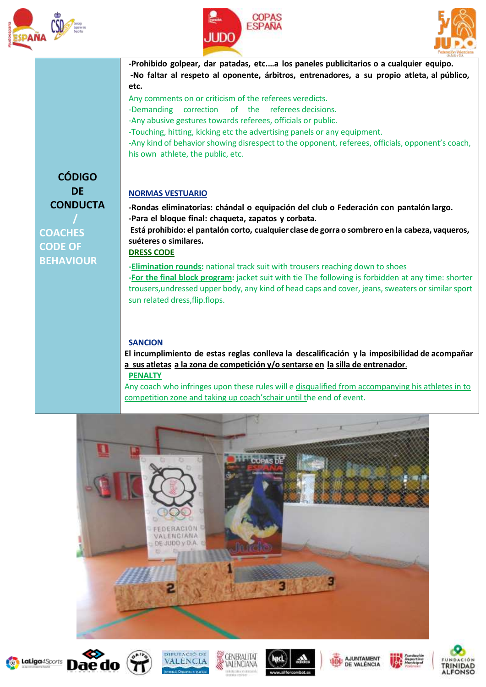





**-Prohibido golpear, dar patadas, etc.…a los paneles publicitarios o a cualquier equipo. -No faltar al respeto al oponente, árbitros, entrenadores, a su propio atleta, al público, etc.**

Any comments on or criticism of the referees veredicts.

-Demanding correction of the referees decisions.

-Any abusive gestures towards referees, officials or public.

-Touching, hitting, kicking etc the advertising panels or any equipment.

-Any kind of behavior showing disrespect to the opponent, referees, officials, opponent's coach, his own athlete, the public, etc.

### **NORMAS VESTUARIO**

**-Rondas eliminatorias: chándal o equipación del club o Federación con pantalón largo. -Para el bloque final: chaqueta, zapatos y corbata. Está prohibido: el pantalón corto, cualquier clase de gorra o sombrero en la cabeza, vaqueros, suéteres o similares. DRESS CODE -Elimination rounds:** national track suit with trousers reaching down to shoes

**-For the final block program:** jacket suit with tie The following is forbidden at any time: shorter trousers, undressed upper body, any kind of head caps and cover, jeans, sweaters or similar sport sun related dress,flip.flops.

#### **SANCION**

**El incumplimiento de estas reglas conlleva la descalificación y la imposibilidad de acompañar a sus atletas a la zona de competición y/o sentarse en la silla de entrenador**.

### **PENALTY**

Any coach who infringes upon these rules will e disqualified from accompanying his athletes in to competition zone and taking up coach'schair until the end of event.





















**DE CONDUCTA /**

**CÓDIGO**

**COACHES CODE OF BEHAVIOUR**